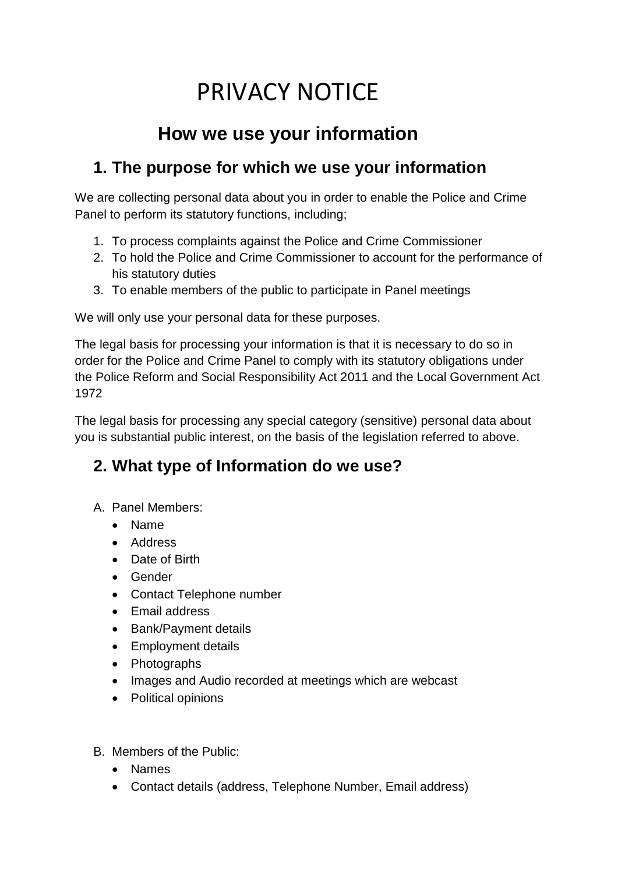# PRIVACY NOTICE

# **How we use your information**

## **1. The purpose for which we use your information**

We are collecting personal data about you in order to enable the Police and Crime Panel to perform its statutory functions, including;

- 1. To process complaints against the Police and Crime Commissioner
- 2. To hold the Police and Crime Commissioner to account for the performance of his statutory duties
- 3. To enable members of the public to participate in Panel meetings

We will only use your personal data for these purposes.

The legal basis for processing your information is that it is necessary to do so in order for the Police and Crime Panel to comply with its statutory obligations under the Police Reform and Social Responsibility Act 2011 and the Local Government Act 1972

The legal basis for processing any special category (sensitive) personal data about you is substantial public interest, on the basis of the legislation referred to above.

## **2. What type of Information do we use?**

- A. Panel Members:
	- Name
	- Address
	- Date of Birth
	- Gender
	- Contact Telephone number
	- Email address
	- Bank/Payment details
	- Employment details
	- Photographs
	- Images and Audio recorded at meetings which are webcast
	- Political opinions
- B. Members of the Public:
	- Names
	- Contact details (address, Telephone Number, Email address)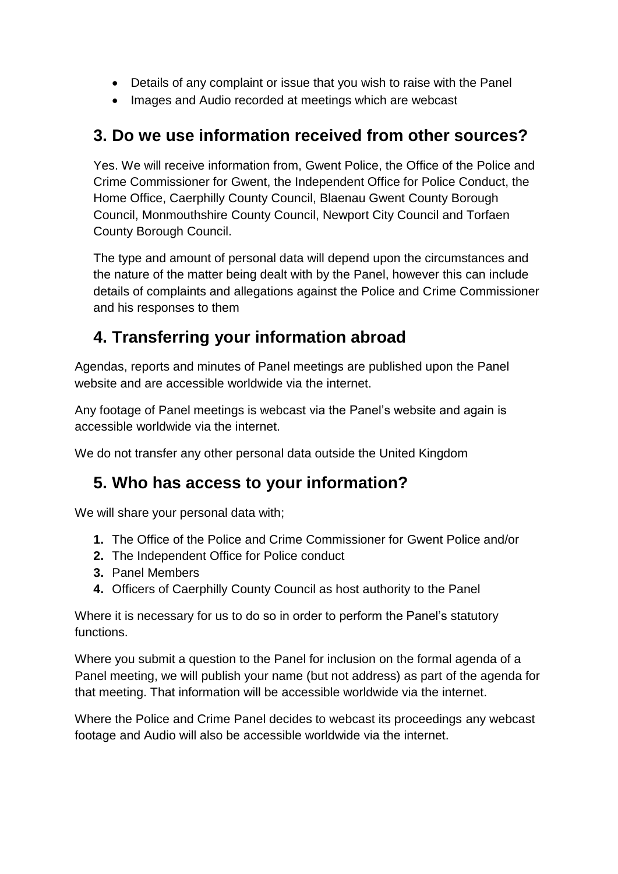- Details of any complaint or issue that you wish to raise with the Panel
- Images and Audio recorded at meetings which are webcast

#### **3. Do we use information received from other sources?**

Yes. We will receive information from, Gwent Police, the Office of the Police and Crime Commissioner for Gwent, the Independent Office for Police Conduct, the Home Office, Caerphilly County Council, Blaenau Gwent County Borough Council, Monmouthshire County Council, Newport City Council and Torfaen County Borough Council.

The type and amount of personal data will depend upon the circumstances and the nature of the matter being dealt with by the Panel, however this can include details of complaints and allegations against the Police and Crime Commissioner and his responses to them

### **4. Transferring your information abroad**

Agendas, reports and minutes of Panel meetings are published upon the Panel website and are accessible worldwide via the internet.

Any footage of Panel meetings is webcast via the Panel's website and again is accessible worldwide via the internet.

We do not transfer any other personal data outside the United Kingdom

#### **5. Who has access to your information?**

We will share your personal data with;

- **1.** The Office of the Police and Crime Commissioner for Gwent Police and/or
- **2.** The Independent Office for Police conduct
- **3.** Panel Members
- **4.** Officers of Caerphilly County Council as host authority to the Panel

Where it is necessary for us to do so in order to perform the Panel's statutory functions.

Where you submit a question to the Panel for inclusion on the formal agenda of a Panel meeting, we will publish your name (but not address) as part of the agenda for that meeting. That information will be accessible worldwide via the internet.

Where the Police and Crime Panel decides to webcast its proceedings any webcast footage and Audio will also be accessible worldwide via the internet.